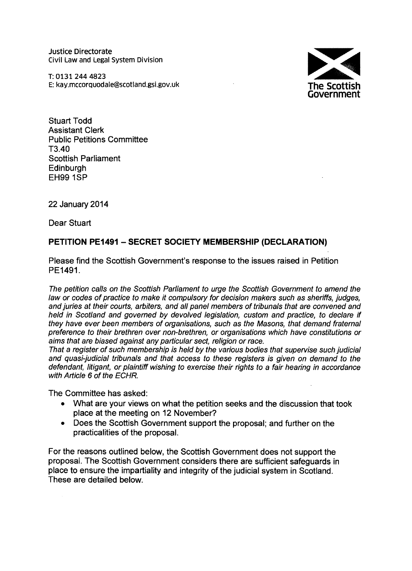Justice Directorate Civil Law and Legal System Division

T:01312444823 E: kay.mccorquodale@scotland.gsi.gov.uk



Stuart Todd Assistant Clerk Public Petitions Committee T3.40 Scottish Parliament **Edinburgh** EH99 1SP

22 January 2014

Dear Stuart

# **PETITION PE1491 - SECRET SOCIETY MEMBERSHIP (DECLARATION)**

Please find the Scottish Government's response to the issues raised in Petition PE1491.

*The petition calls on the Scottish Parliament to urge the Scottish Government to amend the law or codes* of *practice to make it compulsory for decision makers such* as *sheriffs, judges, and juries at their courts, arbiters, and all panel members* of *tribunals that are convened and held in Scotland and governed by devolved legislation, custom and practice, to declare if they have ever been members* of *organisations, such* as *the Masons, that demand fraternal preference to their brethren over non-brethren, or organisations which have constitutions or aims that are biased against any particular sect, religion or race.*

*That* a *register* of *such membership is held by the various bodies that supervise such judicial and quasi-judicial tribunals and that access to these registers is given on demand to the defendant, litigant, or plaintiff wishing to exercise their rights to* a *fair hearing in accordance with Article* 6 of *the ECHR.*

The Committee has asked:

- What are your views on what the petition seeks and the discussion that took place at the meeting on 12 November?
- Does the Scottish Government support the proposal; and further on the practicalities of the proposal.

For the reasons outlined below, the Scottish Government does not support the proposal. The Scottish Government considers there are sufficient safeguards in place to ensure the impartiality and integrity of the judicial system in Scotland. These are detailed below.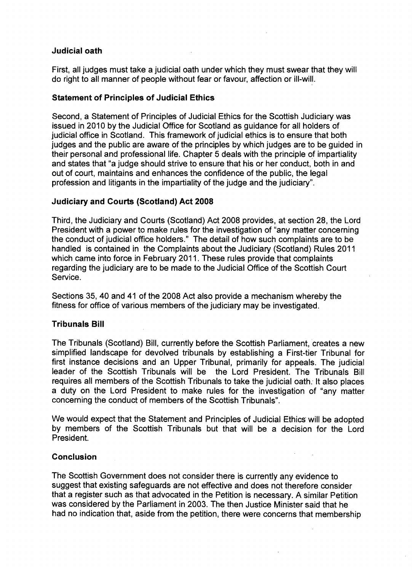### **Judicial oath**

First, all judges must take a judicial oath under which they must swear that they will do right to all manner of people without fear or favour, affection or ill-will,

#### **Statement of Principles of Judicial Ethics**

Second, a Statement of Principles of Judicial Ethics for the Scottish Judiciary was issued in 2010 by the Judicial Office for Scotland as guidance for all holders of judicial office in Scotland. This framework of judicial ethics is to ensure that both judges and the public are aware of the principles by which judges are to be guided in their personal and professional life. Chapter 5 deals with the principle of impartiality and states that "a judge should strive to ensure that his or her conduct, both in and out of court, maintains and enhances the confidence of the public, the legal profession and litigants in the impartiality of the judge and the judiciary".

## **Judiciary and Courts (Scotland) Act 2008**

Third, the Judiciary and Courts (Scotland) Act 2008 provides, at section 28, the Lord President with a power to make rules for the investigation of "any matter concerning the conduct of judicial office holders." The detail of how such complaints are to be handled is contained in the Complaints about the Judiciary (Scotland) Rules 2011 which came into force in February 2011. These rules provide that complaints regarding the judiciary are to be made to the Judicial Office of the Scottish Court Service.

Sections 35, 40 and 41 of the 2008 Act also provide a mechanism whereby the fitness for office of various members of the judiciary may be investigated.

# **Tribunals Bill**

The Tribunals (Scotland) Bill, currently before the Scottish Parliament, creates a new simplified landscape for devolved tribunals by establishing a First-tier Tribunal for first instance decisions and an Upper Tribunal, primarily for appeals. The judicial leader of the Scottish Tribunals will be the Lord President. The Tribunals Bill requires all members of the Scottish Tribunals to take the judicial oath: It also places a duty on the Lord President to make rules for the investigation of "any matter concerning the conduct of members of the Scottish Tribunals".

We would expect that the Statement and Principles of Judicial Ethics will be adopted by members of the Scottish Tribunals but that will be a decision for the Lord President.

#### **Conclusion**

The Scottish Government does not consider there is currently any evidence to suggest that existing safeguards are not effective and does not therefore consider that a register such as that advocated in the Petition is necessary. A similar Petition was considered by the Parliament in 2003. The then Justice Minister said that he had no indication that, aside from the petition, there were concerns that membership